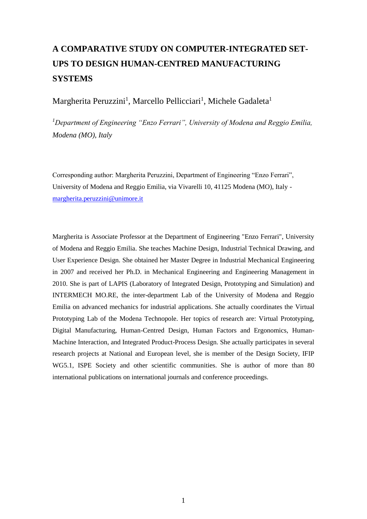# **A COMPARATIVE STUDY ON COMPUTER-INTEGRATED SET-UPS TO DESIGN HUMAN-CENTRED MANUFACTURING SYSTEMS**

Margherita Peruzzini<sup>1</sup>, Marcello Pellicciari<sup>1</sup>, Michele Gadaleta<sup>1</sup>

*<sup>1</sup>Department of Engineering "Enzo Ferrari", University of Modena and Reggio Emilia, Modena (MO), Italy*

Corresponding author: Margherita Peruzzini, Department of Engineering "Enzo Ferrari", University of Modena and Reggio Emilia, via Vivarelli 10, 41125 Modena (MO), Italy [margherita.peruzzini@unimore.it](mailto:margherita.peruzzini@unimore.it)

Margherita is Associate Professor at the Department of Engineering "Enzo Ferrari", University of Modena and Reggio Emilia. She teaches Machine Design, Industrial Technical Drawing, and User Experience Design. She obtained her Master Degree in Industrial Mechanical Engineering in 2007 and received her Ph.D. in Mechanical Engineering and Engineering Management in 2010. She is part of LAPIS (Laboratory of Integrated Design, Prototyping and Simulation) and INTERMECH MO.RE, the inter-department Lab of the University of Modena and Reggio Emilia on advanced mechanics for industrial applications. She actually coordinates the Virtual Prototyping Lab of the Modena Technopole. Her topics of research are: Virtual Prototyping, Digital Manufacturing, Human-Centred Design, Human Factors and Ergonomics, Human-Machine Interaction, and Integrated Product-Process Design. She actually participates in several research projects at National and European level, she is member of the Design Society, IFIP WG5.1, ISPE Society and other scientific communities. She is author of more than 80 international publications on international journals and conference proceedings.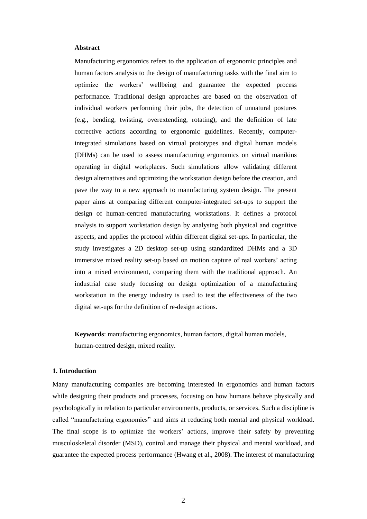#### **Abstract**

Manufacturing ergonomics refers to the application of ergonomic principles and human factors analysis to the design of manufacturing tasks with the final aim to optimize the workers' wellbeing and guarantee the expected process performance. Traditional design approaches are based on the observation of individual workers performing their jobs, the detection of unnatural postures (e.g., bending, twisting, overextending, rotating), and the definition of late corrective actions according to ergonomic guidelines. Recently, computerintegrated simulations based on virtual prototypes and digital human models (DHMs) can be used to assess manufacturing ergonomics on virtual manikins operating in digital workplaces. Such simulations allow validating different design alternatives and optimizing the workstation design before the creation, and pave the way to a new approach to manufacturing system design. The present paper aims at comparing different computer-integrated set-ups to support the design of human-centred manufacturing workstations. It defines a protocol analysis to support workstation design by analysing both physical and cognitive aspects, and applies the protocol within different digital set-ups. In particular, the study investigates a 2D desktop set-up using standardized DHMs and a 3D immersive mixed reality set-up based on motion capture of real workers' acting into a mixed environment, comparing them with the traditional approach. An industrial case study focusing on design optimization of a manufacturing workstation in the energy industry is used to test the effectiveness of the two digital set-ups for the definition of re-design actions.

**Keywords**: manufacturing ergonomics, human factors, digital human models, human-centred design, mixed reality.

### **1. Introduction**

Many manufacturing companies are becoming interested in ergonomics and human factors while designing their products and processes, focusing on how humans behave physically and psychologically in relation to particular environments, products, or services. Such a discipline is called "manufacturing ergonomics" and aims at reducing both mental and physical workload. The final scope is to optimize the workers' actions, improve their safety by preventing musculoskeletal disorder (MSD), control and manage their physical and mental workload, and guarantee the expected process performance (Hwang et al., 2008). The interest of manufacturing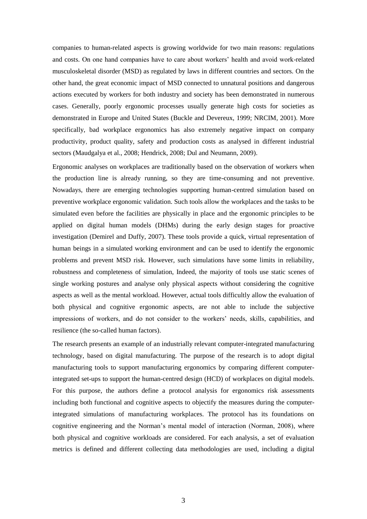companies to human-related aspects is growing worldwide for two main reasons: regulations and costs. On one hand companies have to care about workers' health and avoid work-related musculoskeletal disorder (MSD) as regulated by laws in different countries and sectors. On the other hand, the great economic impact of MSD connected to unnatural positions and dangerous actions executed by workers for both industry and society has been demonstrated in numerous cases. Generally, poorly ergonomic processes usually generate high costs for societies as demonstrated in Europe and United States (Buckle and Devereux, 1999; NRCIM, 2001). More specifically, bad workplace ergonomics has also extremely negative impact on company productivity, product quality, safety and production costs as analysed in different industrial sectors (Maudgalya et al., 2008; Hendrick, 2008; Dul and Neumann, 2009).

Ergonomic analyses on workplaces are traditionally based on the observation of workers when the production line is already running, so they are time-consuming and not preventive. Nowadays, there are emerging technologies supporting human-centred simulation based on preventive workplace ergonomic validation. Such tools allow the workplaces and the tasks to be simulated even before the facilities are physically in place and the ergonomic principles to be applied on digital human models (DHMs) during the early design stages for proactive investigation (Demirel and Duffy, 2007). These tools provide a quick, virtual representation of human beings in a simulated working environment and can be used to identify the ergonomic problems and prevent MSD risk. However, such simulations have some limits in reliability, robustness and completeness of simulation, Indeed, the majority of tools use static scenes of single working postures and analyse only physical aspects without considering the cognitive aspects as well as the mental workload. However, actual tools difficultly allow the evaluation of both physical and cognitive ergonomic aspects, are not able to include the subjective impressions of workers, and do not consider to the workers' needs, skills, capabilities, and resilience (the so-called human factors).

The research presents an example of an industrially relevant computer-integrated manufacturing technology, based on digital manufacturing. The purpose of the research is to adopt digital manufacturing tools to support manufacturing ergonomics by comparing different computerintegrated set-ups to support the human-centred design (HCD) of workplaces on digital models. For this purpose, the authors define a protocol analysis for ergonomics risk assessments including both functional and cognitive aspects to objectify the measures during the computerintegrated simulations of manufacturing workplaces. The protocol has its foundations on cognitive engineering and the Norman's mental model of interaction (Norman, 2008), where both physical and cognitive workloads are considered. For each analysis, a set of evaluation metrics is defined and different collecting data methodologies are used, including a digital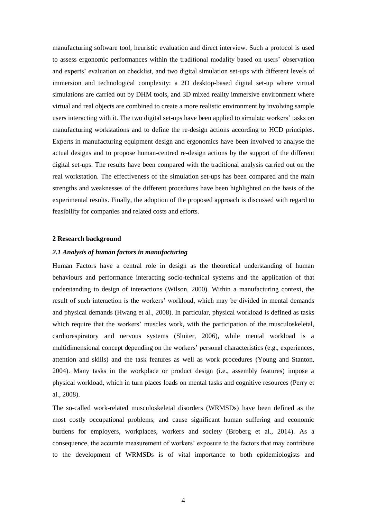manufacturing software tool, heuristic evaluation and direct interview. Such a protocol is used to assess ergonomic performances within the traditional modality based on users' observation and experts' evaluation on checklist, and two digital simulation set-ups with different levels of immersion and technological complexity: a 2D desktop-based digital set-up where virtual simulations are carried out by DHM tools, and 3D mixed reality immersive environment where virtual and real objects are combined to create a more realistic environment by involving sample users interacting with it. The two digital set-ups have been applied to simulate workers' tasks on manufacturing workstations and to define the re-design actions according to HCD principles. Experts in manufacturing equipment design and ergonomics have been involved to analyse the actual designs and to propose human-centred re-design actions by the support of the different digital set-ups. The results have been compared with the traditional analysis carried out on the real workstation. The effectiveness of the simulation set-ups has been compared and the main strengths and weaknesses of the different procedures have been highlighted on the basis of the experimental results. Finally, the adoption of the proposed approach is discussed with regard to feasibility for companies and related costs and efforts.

#### **2 Research background**

#### *2.1 Analysis of human factors in manufacturing*

Human Factors have a central role in design as the theoretical understanding of human behaviours and performance interacting socio-technical systems and the application of that understanding to design of interactions (Wilson, 2000). Within a manufacturing context, the result of such interaction is the workers' workload, which may be divided in mental demands and physical demands (Hwang et al., 2008). In particular, physical workload is defined as tasks which require that the workers' muscles work, with the participation of the musculoskeletal, cardiorespiratory and nervous systems (Sluiter, 2006), while mental workload is a multidimensional concept depending on the workers' personal characteristics (e.g., experiences, attention and skills) and the task features as well as work procedures (Young and Stanton, 2004). Many tasks in the workplace or product design (i.e., assembly features) impose a physical workload, which in turn places loads on mental tasks and cognitive resources (Perry et al., 2008).

The so-called work-related musculoskeletal disorders (WRMSDs) have been defined as the most costly occupational problems, and cause significant human suffering and economic burdens for employers, workplaces, workers and society (Broberg et al., 2014). As a consequence, the accurate measurement of workers' exposure to the factors that may contribute to the development of WRMSDs is of vital importance to both epidemiologists and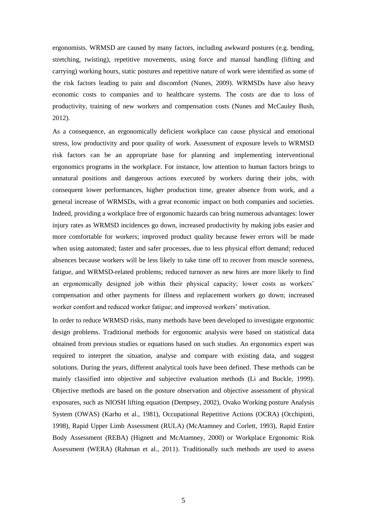ergonomists. WRMSD are caused by many factors, including awkward postures (e.g. bending, stretching, twisting), repetitive movements, using force and manual handling (lifting and carrying) working hours, static postures and repetitive nature of work were identified as some of the risk factors leading to pain and discomfort (Nunes, 2009). WRMSDs have also heavy economic costs to companies and to healthcare systems. The costs are due to loss of productivity, training of new workers and compensation costs (Nunes and McCauley Bush, 2012).

As a consequence, an ergonomically deficient workplace can cause physical and emotional stress, low productivity and poor quality of work. Assessment of exposure levels to WRMSD risk factors can be an appropriate base for planning and implementing interventional ergonomics programs in the workplace. For instance, low attention to human factors brings to unnatural positions and dangerous actions executed by workers during their jobs, with consequent lower performances, higher production time, greater absence from work, and a general increase of WRMSDs, with a great economic impact on both companies and societies. Indeed, providing a workplace free of ergonomic hazards can bring numerous advantages: lower injury rates as WRMSD incidences go down, increased productivity by making jobs easier and more comfortable for workers; improved product quality because fewer errors will be made when using automated; faster and safer processes, due to less physical effort demand; reduced absences because workers will be less likely to take time off to recover from muscle soreness, fatigue, and WRMSD-related problems; reduced turnover as new hires are more likely to find an ergonomically designed job within their physical capacity; lower costs as workers' compensation and other payments for illness and replacement workers go down; increased worker comfort and reduced worker fatigue; and improved workers' motivation.

In order to reduce WRMSD risks, many methods have been developed to investigate ergonomic design problems. Traditional methods for ergonomic analysis were based on statistical data obtained from previous studies or equations based on such studies. An ergonomics expert was required to interpret the situation, analyse and compare with existing data, and suggest solutions. During the years, different analytical tools have been defined. These methods can be mainly classified into objective and subjective evaluation methods (Li and Buckle, 1999). Objective methods are based on the posture observation and objective assessment of physical exposures, such as NIOSH lifting equation (Dempsey, 2002), Ovako Working posture Analysis System (OWAS) (Karhu et al., 1981), Occupational Repetitive Actions (OCRA) (Occhipinti, 1998), Rapid Upper Limb Assessment (RULA) (McAtamney and Corlett, 1993), Rapid Entire Body Assessment (REBA) (Hignett and McAtamney, 2000) or Workplace Ergonomic Risk Assessment (WERA) (Rahman et al., 2011). Traditionally such methods are used to assess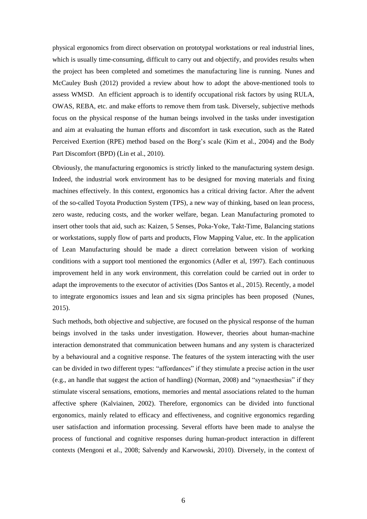physical ergonomics from direct observation on prototypal workstations or real industrial lines, which is usually time-consuming, difficult to carry out and objectify, and provides results when the project has been completed and sometimes the manufacturing line is running. Nunes and McCauley Bush (2012) provided a review about how to adopt the above-mentioned tools to assess WMSD. An efficient approach is to identify occupational risk factors by using RULA, OWAS, REBA, etc. and make efforts to remove them from task. Diversely, subjective methods focus on the physical response of the human beings involved in the tasks under investigation and aim at evaluating the human efforts and discomfort in task execution, such as the Rated Perceived Exertion (RPE) method based on the Borg's scale (Kim et al., 2004) and the Body Part Discomfort (BPD) (Lin et al., 2010).

Obviously, the manufacturing ergonomics is strictly linked to the manufacturing system design. Indeed, the industrial work environment has to be designed for moving materials and fixing machines effectively. In this context, ergonomics has a critical driving factor. After the advent of the so-called Toyota Production System (TPS), a new way of thinking, based on lean process, zero waste, reducing costs, and the worker welfare, began. Lean Manufacturing promoted to insert other tools that aid, such as: Kaizen, 5 Senses, Poka-Yoke, Takt-Time, Balancing stations or workstations, supply flow of parts and products, Flow Mapping Value, etc. In the application of Lean Manufacturing should be made a direct correlation between vision of working conditions with a support tool mentioned the ergonomics (Adler et al, 1997). Each continuous improvement held in any work environment, this correlation could be carried out in order to adapt the improvements to the executor of activities (Dos Santos et al., 2015). Recently, a model to integrate ergonomics issues and lean and six sigma principles has been proposed (Nunes, 2015).

Such methods, both objective and subjective, are focused on the physical response of the human beings involved in the tasks under investigation. However, theories about human-machine interaction demonstrated that communication between humans and any system is characterized by a behavioural and a cognitive response. The features of the system interacting with the user can be divided in two different types: "affordances" if they stimulate a precise action in the user (e.g., an handle that suggest the action of handling) (Norman, 2008) and "synaesthesias" if they stimulate visceral sensations, emotions, memories and mental associations related to the human affective sphere (Kalviainen, 2002). Therefore, ergonomics can be divided into functional ergonomics, mainly related to efficacy and effectiveness, and cognitive ergonomics regarding user satisfaction and information processing. Several efforts have been made to analyse the process of functional and cognitive responses during human-product interaction in different contexts (Mengoni et al., 2008; Salvendy and Karwowski, 2010). Diversely, in the context of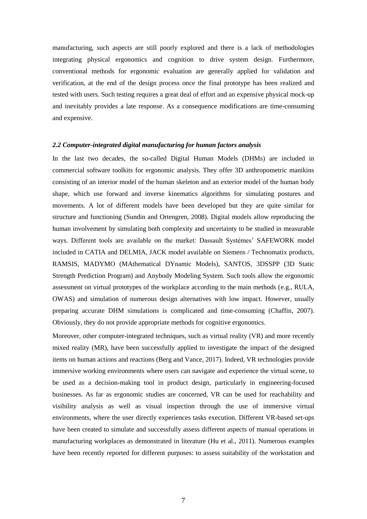manufacturing, such aspects are still poorly explored and there is a lack of methodologies integrating physical ergonomics and cognition to drive system design. Furthermore, conventional methods for ergonomic evaluation are generally applied for validation and verification, at the end of the design process once the final prototype has been realized and tested with users. Such testing requires a great deal of effort and an expensive physical mock-up and inevitably provides a late response. As a consequence modifications are time-consuming and expensive.

# *2.2 Computer-integrated digital manufacturing for human factors analysis*

In the last two decades, the so-called Digital Human Models (DHMs) are included in commercial software toolkits for ergonomic analysis. They offer 3D anthropometric manikins consisting of an interior model of the human skeleton and an exterior model of the human body shape, which use forward and inverse kinematics algorithms for simulating postures and movements. A lot of different models have been developed but they are quite similar for structure and functioning (Sundin and Ortengren, 2008). Digital models allow reproducing the human involvement by simulating both complexity and uncertainty to be studied in measurable ways. Different tools are available on the market: Dassault Systèmes' SAFEWORK model included in CATIA and DELMIA, JACK model available on Siemens / Technomatix products, RAMSIS, MADYMO (MAthematical DYnamic Models), SANTOS, 3DSSPP (3D Static Strength Prediction Program) and Anybody Modeling System. Such tools allow the ergonomic assessment on virtual prototypes of the workplace according to the main methods (e.g., RULA, OWAS) and simulation of numerous design alternatives with low impact. However, usually preparing accurate DHM simulations is complicated and time-consuming (Chaffin, 2007). Obviously, they do not provide appropriate methods for cognitive ergonomics.

Moreover, other computer-integrated techniques, such as virtual reality (VR) and more recently mixed reality (MR), have been successfully applied to investigate the impact of the designed items on human actions and reactions (Berg and Vance, 2017). Indeed, VR technologies provide immersive working environments where users can navigate and experience the virtual scene, to be used as a decision-making tool in product design, particularly in engineering-focused businesses. As far as ergonomic studies are concerned, VR can be used for reachability and visibility analysis as well as visual inspection through the use of immersive virtual environments, where the user directly experiences tasks execution. Different VR-based set-ups have been created to simulate and successfully assess different aspects of manual operations in manufacturing workplaces as demonstrated in literature (Hu et al., 2011). Numerous examples have been recently reported for different purposes: to assess suitability of the workstation and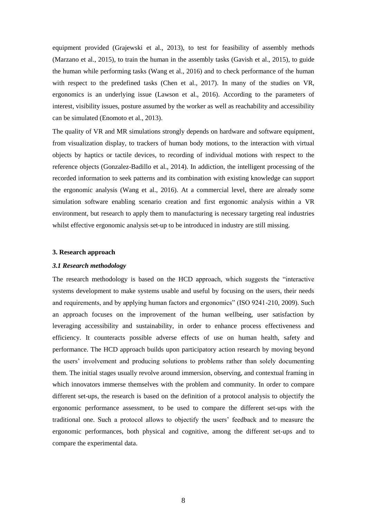equipment provided (Grajewski et al., 2013), to test for feasibility of assembly methods (Marzano et al., 2015), to train the human in the assembly tasks (Gavish et al., 2015), to guide the human while performing tasks (Wang et al., 2016) and to check performance of the human with respect to the predefined tasks (Chen et al., 2017). In many of the studies on VR, ergonomics is an underlying issue (Lawson et al., 2016). According to the parameters of interest, visibility issues, posture assumed by the worker as well as reachability and accessibility can be simulated (Enomoto et al., 2013).

The quality of VR and MR simulations strongly depends on hardware and software equipment, from visualization display, to trackers of human body motions, to the interaction with virtual objects by haptics or tactile devices, to recording of individual motions with respect to the reference objects (Gonzalez-Badillo et al., 2014). In addiction, the intelligent processing of the recorded information to seek patterns and its combination with existing knowledge can support the ergonomic analysis (Wang et al., 2016). At a commercial level, there are already some simulation software enabling scenario creation and first ergonomic analysis within a VR environment, but research to apply them to manufacturing is necessary targeting real industries whilst effective ergonomic analysis set-up to be introduced in industry are still missing.

#### **3. Research approach**

#### *3.1 Research methodology*

The research methodology is based on the HCD approach, which suggests the "interactive systems development to make systems usable and useful by focusing on the users, their needs and requirements, and by applying human factors and ergonomics" (ISO 9241-210, 2009). Such an approach focuses on the improvement of the human wellbeing, user satisfaction by leveraging accessibility and sustainability, in order to enhance process effectiveness and efficiency. It counteracts possible adverse effects of use on human health, safety and performance. The HCD approach builds upon participatory action research by moving beyond the users' involvement and producing solutions to problems rather than solely documenting them. The initial stages usually revolve around immersion, observing, and contextual framing in which innovators immerse themselves with the problem and community. In order to compare different set-ups, the research is based on the definition of a protocol analysis to objectify the ergonomic performance assessment, to be used to compare the different set-ups with the traditional one. Such a protocol allows to objectify the users' feedback and to measure the ergonomic performances, both physical and cognitive, among the different set-ups and to compare the experimental data.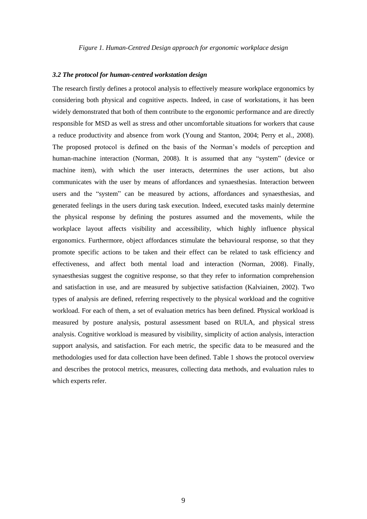#### *3.2 The protocol for human-centred workstation design*

The research firstly defines a protocol analysis to effectively measure workplace ergonomics by considering both physical and cognitive aspects. Indeed, in case of workstations, it has been widely demonstrated that both of them contribute to the ergonomic performance and are directly responsible for MSD as well as stress and other uncomfortable situations for workers that cause a reduce productivity and absence from work (Young and Stanton, 2004; Perry et al., 2008). The proposed protocol is defined on the basis of the Norman's models of perception and human-machine interaction (Norman, 2008). It is assumed that any "system" (device or machine item), with which the user interacts, determines the user actions, but also communicates with the user by means of affordances and synaesthesias. Interaction between users and the "system" can be measured by actions, affordances and synaesthesias, and generated feelings in the users during task execution. Indeed, executed tasks mainly determine the physical response by defining the postures assumed and the movements, while the workplace layout affects visibility and accessibility, which highly influence physical ergonomics. Furthermore, object affordances stimulate the behavioural response, so that they promote specific actions to be taken and their effect can be related to task efficiency and effectiveness, and affect both mental load and interaction (Norman, 2008). Finally, synaesthesias suggest the cognitive response, so that they refer to information comprehension and satisfaction in use, and are measured by subjective satisfaction (Kalviainen, 2002). Two types of analysis are defined, referring respectively to the physical workload and the cognitive workload. For each of them, a set of evaluation metrics has been defined. Physical workload is measured by posture analysis, postural assessment based on RULA, and physical stress analysis. Cognitive workload is measured by visibility, simplicity of action analysis, interaction support analysis, and satisfaction. For each metric, the specific data to be measured and the methodologies used for data collection have been defined. Table 1 shows the protocol overview and describes the protocol metrics, measures, collecting data methods, and evaluation rules to which experts refer.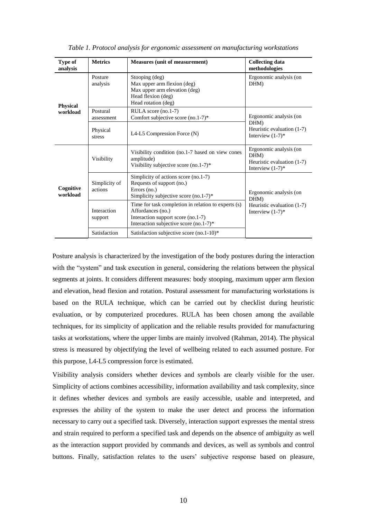| Type of<br>analysis         | <b>Metrics</b>           | <b>Measures (unit of measurement)</b>                                                                                                                    | <b>Collecting data</b><br>methodologies                                             |  |
|-----------------------------|--------------------------|----------------------------------------------------------------------------------------------------------------------------------------------------------|-------------------------------------------------------------------------------------|--|
| <b>Physical</b><br>workload | Posture<br>analysis      | Stooping (deg)<br>Max upper arm flexion (deg)<br>Max upper arm elevation (deg)<br>Head flexion (deg)<br>Head rotation (deg)                              | Ergonomic analysis (on<br>DHM                                                       |  |
|                             | Postural<br>assessment   | RULA score (no.1-7)<br>Comfort subjective score $(no.1-7)$ <sup>*</sup>                                                                                  | Ergonomic analysis (on<br>DHM<br>Heuristic evaluation (1-7)<br>Interview $(1-7)$ *  |  |
|                             | Physical<br>stress       | L4-L5 Compression Force (N)                                                                                                                              |                                                                                     |  |
| Cognitive<br>workload       | Visibility               | Visibility condition (no.1-7 based on view cones<br>amplitude)<br>Visibility subjective score $(no.1-7)$ <sup>*</sup>                                    | Ergonomic analysis (on<br>DHM)<br>Heuristic evaluation (1-7)<br>Interview $(1-7)^*$ |  |
|                             | Simplicity of<br>actions | Simplicity of actions score (no.1-7)<br>Requests of support (no.)<br>Errors (no.)<br>Simplicity subjective score $(no.1-7)$ <sup>*</sup>                 | Ergonomic analysis (on<br>DHM)<br>Heuristic evaluation (1-7)<br>Interview $(1-7)$ * |  |
|                             | Interaction<br>support   | Time for task completion in relation to experts (s)<br>Affordances (no.)<br>Interaction support score (no.1-7)<br>Interaction subjective score (no.1-7)* |                                                                                     |  |
|                             | Satisfaction             | Satisfaction subjective score $(no.1-10)*$                                                                                                               |                                                                                     |  |

*Table 1. Protocol analysis for ergonomic assessment on manufacturing workstations*

Posture analysis is characterized by the investigation of the body postures during the interaction with the "system" and task execution in general, considering the relations between the physical segments at joints. It considers different measures: body stooping, maximum upper arm flexion and elevation, head flexion and rotation. Postural assessment for manufacturing workstations is based on the RULA technique, which can be carried out by checklist during heuristic evaluation, or by computerized procedures. RULA has been chosen among the available techniques, for its simplicity of application and the reliable results provided for manufacturing tasks at workstations, where the upper limbs are mainly involved (Rahman, 2014). The physical stress is measured by objectifying the level of wellbeing related to each assumed posture. For this purpose, L4-L5 compression force is estimated.

Visibility analysis considers whether devices and symbols are clearly visible for the user. Simplicity of actions combines accessibility, information availability and task complexity, since it defines whether devices and symbols are easily accessible, usable and interpreted, and expresses the ability of the system to make the user detect and process the information necessary to carry out a specified task. Diversely, interaction support expresses the mental stress and strain required to perform a specified task and depends on the absence of ambiguity as well as the interaction support provided by commands and devices, as well as symbols and control buttons. Finally, satisfaction relates to the users' subjective response based on pleasure,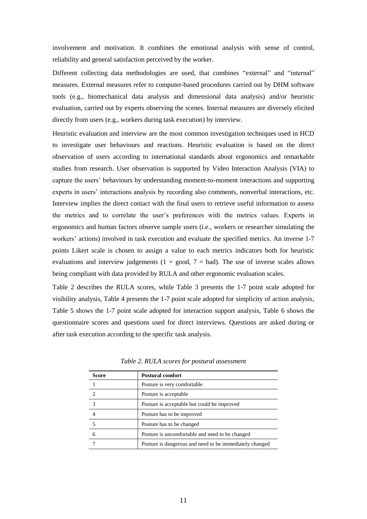involvement and motivation. It combines the emotional analysis with sense of control, reliability and general satisfaction perceived by the worker.

Different collecting data methodologies are used, that combines "external" and "internal" measures. External measures refer to computer-based procedures carried out by DHM software tools (e.g., biomechanical data analysis and dimensional data analysis) and/or heuristic evaluation, carried out by experts observing the scenes. Internal measures are diversely elicited directly from users (e.g., workers during task execution) by interview.

Heuristic evaluation and interview are the most common investigation techniques used in HCD to investigate user behaviours and reactions. Heuristic evaluation is based on the direct observation of users according to international standards about ergonomics and remarkable studies from research. User observation is supported by Video Interaction Analysis (VIA) to capture the users' behaviours by understanding moment-to-moment interactions and supporting experts in users' interactions analysis by recording also comments, nonverbal interactions, etc. Interview implies the direct contact with the final users to retrieve useful information to assess the metrics and to correlate the user's preferences with the metrics values. Experts in ergonomics and human factors observe sample users (i.e., workers or researcher simulating the workers' actions) involved in task execution and evaluate the specified metrics. An inverse 1-7 points Likert scale is chosen to assign a value to each metrics indicators both for heuristic evaluations and interview judgements ( $1 = \text{good}$ ,  $7 = \text{bad}$ ). The use of inverse scales allows being compliant with data provided by RULA and other ergonomic evaluation scales.

Table 2 describes the RULA scores, while Table 3 presents the 1-7 point scale adopted for visibility analysis, Table 4 presents the 1-7 point scale adopted for simplicity of action analysis, Table 5 shows the 1-7 point scale adopted for interaction support analysis, Table 6 shows the questionnaire scores and questions used for direct interviews. Questions are asked during or after task execution according to the specific task analysis.

| <b>Score</b> | <b>Postural comfort</b>                                 |  |
|--------------|---------------------------------------------------------|--|
|              | Posture is very comfortable                             |  |
|              | Posture is acceptable                                   |  |
|              | Posture is acceptable but could be improved             |  |
|              | Posture has to be improved                              |  |
|              | Posture has to be changed                               |  |
|              | Posture is uncomfortable and need to be changed         |  |
|              | Posture is dangerous and need to be immediately changed |  |

*Table 2. RULA scores for postural assessment*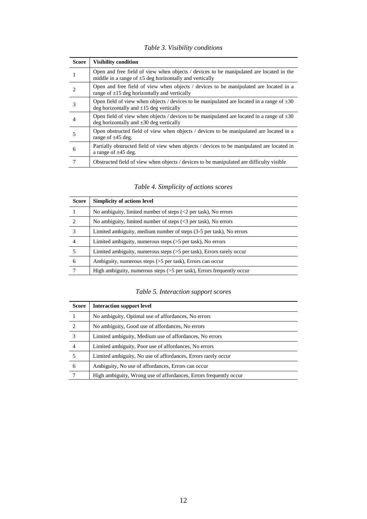| <b>Score</b> | <b>Visibility condition</b>                                                                                                                             |
|--------------|---------------------------------------------------------------------------------------------------------------------------------------------------------|
|              | Open and free field of view when objects / devices to be manipulated are located in the<br>middle in a range of $\pm$ 5 deg horizontally and vertically |
|              | Open and free field of view when objects / devices to be manipulated are located in a<br>range of $\pm 15$ deg horizontally and vertically              |
| 3            | Open field of view when objects / devices to be manipulated are located in a range of $\pm 30$<br>deg horizontally and $\pm 15$ deg vertically          |
|              | Open field of view when objects / devices to be manipulated are located in a range of $\pm 30$<br>deg horizontally and $\pm 30$ deg vertically          |
|              | Open obstructed field of view when objects / devices to be manipulated are located in a<br>range of $\pm 45$ deg.                                       |
| 6            | Partially obstructed field of view when objects / devices to be manipulated are located in<br>a range of $\pm 45$ deg.                                  |
|              | Obstructed field of view when objects / devices to be manipulated are difficulty visible                                                                |

*Table 3. Visibility conditions*

| <b>Score</b>                  | <b>Simplicity of actions level</b>                                      |
|-------------------------------|-------------------------------------------------------------------------|
|                               | No ambiguity, limited number of steps $\left($ <2 per task), No errors  |
| $\mathfrak{D}_{\mathfrak{p}}$ | No ambiguity, limited number of steps $(3 per task)$ , No errors        |
|                               | Limited ambiguity, medium number of steps (3-5 per task), No errors     |
| 4                             | Limited ambiguity, numerous steps $(55$ per task), No errors            |
|                               | Limited ambiguity, numerous steps $(55$ per task), Errors rarely occur  |
| 6                             | Ambiguity, numerous steps (>5 per task), Errors can occur               |
|                               | High ambiguity, numerous steps $(55$ per task), Errors frequently occur |

# *Table 5. Interaction support scores*

| <b>Score</b>   | <b>Interaction support level</b>                                  |
|----------------|-------------------------------------------------------------------|
|                | No ambiguity, Optimal use of affordances, No errors               |
| 2              | No ambiguity, Good use of affordances, No errors                  |
| 3              | Limited ambiguity, Medium use of affordances, No errors           |
| $\overline{4}$ | Limited ambiguity, Poor use of affordances, No errors             |
| 5              | Limited ambiguity, No use of affordances, Errors rarely occur     |
| 6              | Ambiguity, No use of affordances, Errors can occur                |
|                | High ambiguity, Wrong use of affordances, Errors frequently occur |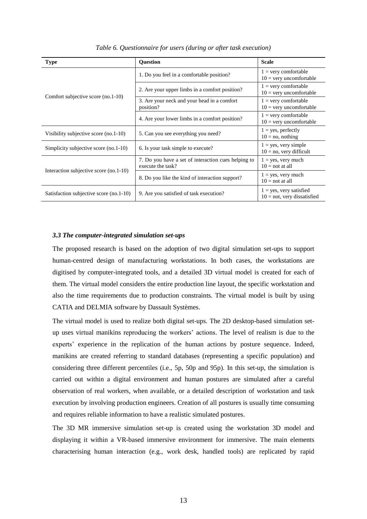| <b>Type</b>                             | <b>Question</b>                                                          | <b>Scale</b>                                                 |
|-----------------------------------------|--------------------------------------------------------------------------|--------------------------------------------------------------|
|                                         | 1. Do you feel in a comfortable position?                                | $1 =$ very comfortable<br>$10 =$ very uncomfortable          |
| Comfort subjective score (no.1-10)      | 2. Are your upper limbs in a comfort position?                           | $1 = \text{very comfortable}$<br>$10 =$ very uncomfortable   |
|                                         | 3. Are your neck and your head in a comfort<br>position?                 | $1 = \text{very comfortable}$<br>$10 =$ very uncomfortable   |
|                                         | 4. Are your lower limbs in a comfort position?                           | $1 =$ very comfortable<br>$10 =$ very uncomfortable          |
| Visibility subjective score (no.1-10)   | 5. Can you see everything you need?                                      | $1 = yes$ , perfectly<br>$10 = no$ , nothing                 |
| Simplicity subjective score (no.1-10)   | 6. Is your task simple to execute?                                       | $1 = yes$ , very simple<br>$10 = no$ , very difficult        |
|                                         | 7. Do you have a set of interaction cues helping to<br>execute the task? | $1 = yes$ , very much<br>$10 = not at all$                   |
| Interaction subjective score (no.1-10)  | 8. Do you like the kind of interaction support?                          | $1 = yes$ , very much<br>$10 =$ not at all                   |
| Satisfaction subjective score (no.1-10) | 9. Are you satisfied of task execution?                                  | $1 = yes$ , very satisfied<br>$10 = not$ , very dissatisfied |

*Table 6. Questionnaire for users (during or after task execution)*

# *3.3 The computer-integrated simulation set-ups*

The proposed research is based on the adoption of two digital simulation set-ups to support human-centred design of manufacturing workstations. In both cases, the workstations are digitised by computer-integrated tools, and a detailed 3D virtual model is created for each of them. The virtual model considers the entire production line layout, the specific workstation and also the time requirements due to production constraints. The virtual model is built by using CATIA and DELMIA software by Dassault Systèmes.

The virtual model is used to realize both digital set-ups. The 2D desktop-based simulation setup uses virtual manikins reproducing the workers' actions. The level of realism is due to the experts' experience in the replication of the human actions by posture sequence. Indeed, manikins are created referring to standard databases (representing a specific population) and considering three different percentiles (i.e., 5p, 50p and 95p). In this set-up, the simulation is carried out within a digital environment and human postures are simulated after a careful observation of real workers, when available, or a detailed description of workstation and task execution by involving production engineers. Creation of all postures is usually time consuming and requires reliable information to have a realistic simulated postures.

The 3D MR immersive simulation set-up is created using the workstation 3D model and displaying it within a VR-based immersive environment for immersive. The main elements characterising human interaction (e.g., work desk, handled tools) are replicated by rapid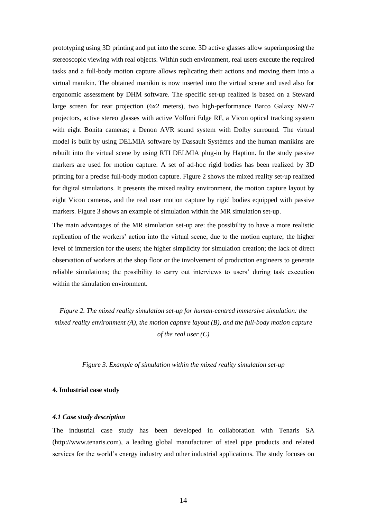prototyping using 3D printing and put into the scene. 3D active glasses allow superimposing the stereoscopic viewing with real objects. Within such environment, real users execute the required tasks and a full-body motion capture allows replicating their actions and moving them into a virtual manikin. The obtained manikin is now inserted into the virtual scene and used also for ergonomic assessment by DHM software. The specific set-up realized is based on a Steward large screen for rear projection (6x2 meters), two high-performance Barco Galaxy NW-7 projectors, active stereo glasses with active Volfoni Edge RF, a Vicon optical tracking system with eight Bonita cameras; a Denon AVR sound system with Dolby surround. The virtual model is built by using DELMIA software by Dassault Systèmes and the human manikins are rebuilt into the virtual scene by using RTI DELMIA plug-in by Haption. In the study passive markers are used for motion capture. A set of ad-hoc rigid bodies has been realized by 3D printing for a precise full-body motion capture. Figure 2 shows the mixed reality set-up realized for digital simulations. It presents the mixed reality environment, the motion capture layout by eight Vicon cameras, and the real user motion capture by rigid bodies equipped with passive markers. Figure 3 shows an example of simulation within the MR simulation set-up.

The main advantages of the MR simulation set-up are: the possibility to have a more realistic replication of the workers' action into the virtual scene, due to the motion capture; the higher level of immersion for the users; the higher simplicity for simulation creation; the lack of direct observation of workers at the shop floor or the involvement of production engineers to generate reliable simulations; the possibility to carry out interviews to users' during task execution within the simulation environment.

*Figure 2. The mixed reality simulation set-up for human-centred immersive simulation: the mixed reality environment (A), the motion capture layout (B), and the full-body motion capture of the real user (C)*

*Figure 3. Example of simulation within the mixed reality simulation set-up*

# **4. Industrial case study**

#### *4.1 Case study description*

The industrial case study has been developed in collaboration with Tenaris SA (http://www.tenaris.com), a leading global manufacturer of steel pipe products and related services for the world's energy industry and other industrial applications. The study focuses on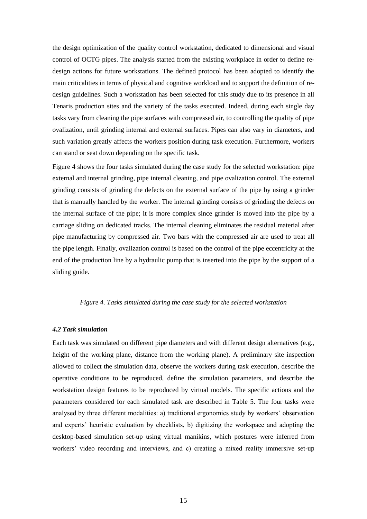the design optimization of the quality control workstation, dedicated to dimensional and visual control of OCTG pipes. The analysis started from the existing workplace in order to define redesign actions for future workstations. The defined protocol has been adopted to identify the main criticalities in terms of physical and cognitive workload and to support the definition of redesign guidelines. Such a workstation has been selected for this study due to its presence in all Tenaris production sites and the variety of the tasks executed. Indeed, during each single day tasks vary from cleaning the pipe surfaces with compressed air, to controlling the quality of pipe ovalization, until grinding internal and external surfaces. Pipes can also vary in diameters, and such variation greatly affects the workers position during task execution. Furthermore, workers can stand or seat down depending on the specific task.

Figure 4 shows the four tasks simulated during the case study for the selected workstation: pipe external and internal grinding, pipe internal cleaning, and pipe ovalization control. The external grinding consists of grinding the defects on the external surface of the pipe by using a grinder that is manually handled by the worker. The internal grinding consists of grinding the defects on the internal surface of the pipe; it is more complex since grinder is moved into the pipe by a carriage sliding on dedicated tracks. The internal cleaning eliminates the residual material after pipe manufacturing by compressed air. Two bars with the compressed air are used to treat all the pipe length. Finally, ovalization control is based on the control of the pipe eccentricity at the end of the production line by a hydraulic pump that is inserted into the pipe by the support of a sliding guide.

#### *Figure 4. Tasks simulated during the case study for the selected workstation*

#### *4.2 Task simulation*

Each task was simulated on different pipe diameters and with different design alternatives (e.g., height of the working plane, distance from the working plane). A preliminary site inspection allowed to collect the simulation data, observe the workers during task execution, describe the operative conditions to be reproduced, define the simulation parameters, and describe the workstation design features to be reproduced by virtual models. The specific actions and the parameters considered for each simulated task are described in Table 5. The four tasks were analysed by three different modalities: a) traditional ergonomics study by workers' observation and experts' heuristic evaluation by checklists, b) digitizing the workspace and adopting the desktop-based simulation set-up using virtual manikins, which postures were inferred from workers' video recording and interviews, and c) creating a mixed reality immersive set-up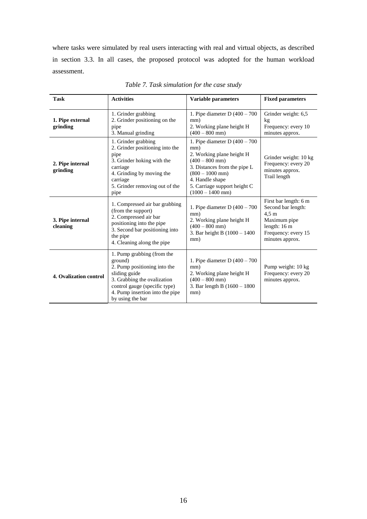where tasks were simulated by real users interacting with real and virtual objects, as described in section 3.3. In all cases, the proposed protocol was adopted for the human workload assessment.

| <b>Task</b>                  | <b>Activities</b>                                                                                                                                                                                             | Variable parameters                                                                                                                                                                                                    | <b>Fixed parameters</b>                                                                                                                             |
|------------------------------|---------------------------------------------------------------------------------------------------------------------------------------------------------------------------------------------------------------|------------------------------------------------------------------------------------------------------------------------------------------------------------------------------------------------------------------------|-----------------------------------------------------------------------------------------------------------------------------------------------------|
| 1. Pipe external<br>grinding | 1. Grinder grabbing<br>2. Grinder positioning on the<br>pipe<br>3. Manual grinding                                                                                                                            | 1. Pipe diameter D $(400 - 700)$<br>mm)<br>2. Working plane height H<br>$(400 - 800$ mm)                                                                                                                               | Grinder weight: 6,5<br>kg<br>Frequency: every 10<br>minutes approx.                                                                                 |
| 2. Pipe internal<br>grinding | 1. Grinder grabbing<br>2. Grinder positioning into the<br>pipe<br>3. Grinder hoking with the<br>carriage<br>4. Grinding by moving the<br>carriage<br>5. Grinder removing out of the<br>pipe                   | 1. Pipe diameter D $(400 - 700)$<br>mm)<br>2. Working plane height H<br>$(400 - 800$ mm)<br>3. Distances from the pipe L<br>$(800 - 1000$ mm)<br>4. Handle shape<br>5. Carriage support height C<br>$(1000 - 1400$ mm) | Grinder weight: 10 kg<br>Frequency: every 20<br>minutes approx.<br>Trail length                                                                     |
| 3. Pipe internal<br>cleaning | 1. Compressed air bar grabbing<br>(from the support)<br>2. Compressed air bar<br>positioning into the pipe<br>3. Second bar positioning into<br>the pipe<br>4. Cleaning along the pipe                        | 1. Pipe diameter D $(400 – 700)$<br>mm)<br>2. Working plane height H<br>$(400 - 800$ mm)<br>3. Bar height B (1000 - 1400)<br>mm)                                                                                       | First bar length: 6 m<br>Second bar length:<br>4.5 <sub>m</sub><br>Maximum pipe<br>length: $16 \text{ m}$<br>Frequency: every 15<br>minutes approx. |
| 4. Ovalization control       | 1. Pump grabbing (from the<br>ground)<br>2. Pump positioning into the<br>sliding guide<br>3. Grabbing the ovalization<br>control gauge (specific type)<br>4. Pump insertion into the pipe<br>by using the bar | 1. Pipe diameter D $(400 - 700)$<br>mm)<br>2. Working plane height H<br>$(400 - 800$ mm)<br>3. Bar length B $(1600 - 1800)$<br>mm)                                                                                     | Pump weight: 10 kg<br>Frequency: every 20<br>minutes approx.                                                                                        |

*Table 7. Task simulation for the case study*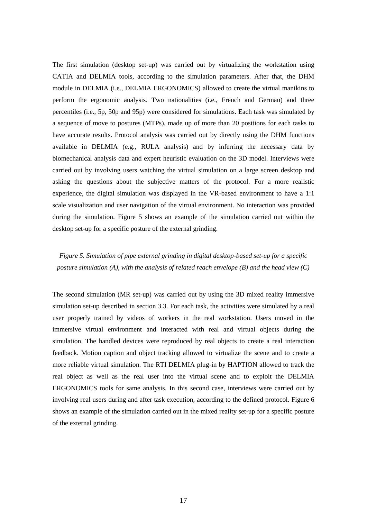The first simulation (desktop set-up) was carried out by virtualizing the workstation using CATIA and DELMIA tools, according to the simulation parameters. After that, the DHM module in DELMIA (i.e., DELMIA ERGONOMICS) allowed to create the virtual manikins to perform the ergonomic analysis. Two nationalities (i.e., French and German) and three percentiles (i.e., 5p, 50p and 95p) were considered for simulations. Each task was simulated by a sequence of move to postures (MTPs), made up of more than 20 positions for each tasks to have accurate results. Protocol analysis was carried out by directly using the DHM functions available in DELMIA (e.g., RULA analysis) and by inferring the necessary data by biomechanical analysis data and expert heuristic evaluation on the 3D model. Interviews were carried out by involving users watching the virtual simulation on a large screen desktop and asking the questions about the subjective matters of the protocol. For a more realistic experience, the digital simulation was displayed in the VR-based environment to have a 1:1 scale visualization and user navigation of the virtual environment. No interaction was provided during the simulation. Figure 5 shows an example of the simulation carried out within the desktop set-up for a specific posture of the external grinding.

# *Figure 5. Simulation of pipe external grinding in digital desktop-based set-up for a specific posture simulation (A), with the analysis of related reach envelope (B) and the head view (C)*

The second simulation (MR set-up) was carried out by using the 3D mixed reality immersive simulation set-up described in section 3.3. For each task, the activities were simulated by a real user properly trained by videos of workers in the real workstation. Users moved in the immersive virtual environment and interacted with real and virtual objects during the simulation. The handled devices were reproduced by real objects to create a real interaction feedback. Motion caption and object tracking allowed to virtualize the scene and to create a more reliable virtual simulation. The RTI DELMIA plug-in by HAPTION allowed to track the real object as well as the real user into the virtual scene and to exploit the DELMIA ERGONOMICS tools for same analysis. In this second case, interviews were carried out by involving real users during and after task execution, according to the defined protocol. Figure 6 shows an example of the simulation carried out in the mixed reality set-up for a specific posture of the external grinding.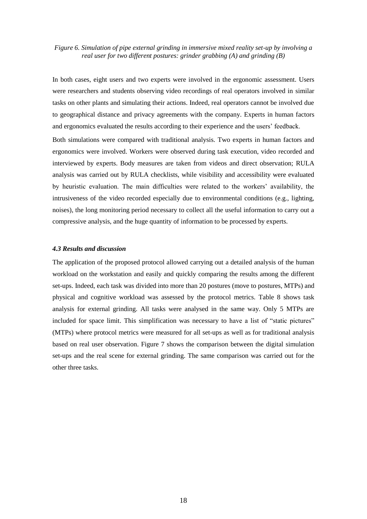*Figure 6. Simulation of pipe external grinding in immersive mixed reality set-up by involving a real user for two different postures: grinder grabbing (A) and grinding (B)*

In both cases, eight users and two experts were involved in the ergonomic assessment. Users were researchers and students observing video recordings of real operators involved in similar tasks on other plants and simulating their actions. Indeed, real operators cannot be involved due to geographical distance and privacy agreements with the company. Experts in human factors and ergonomics evaluated the results according to their experience and the users' feedback.

Both simulations were compared with traditional analysis. Two experts in human factors and ergonomics were involved. Workers were observed during task execution, video recorded and interviewed by experts. Body measures are taken from videos and direct observation; RULA analysis was carried out by RULA checklists, while visibility and accessibility were evaluated by heuristic evaluation. The main difficulties were related to the workers' availability, the intrusiveness of the video recorded especially due to environmental conditions (e.g., lighting, noises), the long monitoring period necessary to collect all the useful information to carry out a compressive analysis, and the huge quantity of information to be processed by experts.

#### *4.3 Results and discussion*

The application of the proposed protocol allowed carrying out a detailed analysis of the human workload on the workstation and easily and quickly comparing the results among the different set-ups. Indeed, each task was divided into more than 20 postures (move to postures, MTPs) and physical and cognitive workload was assessed by the protocol metrics. Table 8 shows task analysis for external grinding. All tasks were analysed in the same way. Only 5 MTPs are included for space limit. This simplification was necessary to have a list of "static pictures" (MTPs) where protocol metrics were measured for all set-ups as well as for traditional analysis based on real user observation. Figure 7 shows the comparison between the digital simulation set-ups and the real scene for external grinding. The same comparison was carried out for the other three tasks.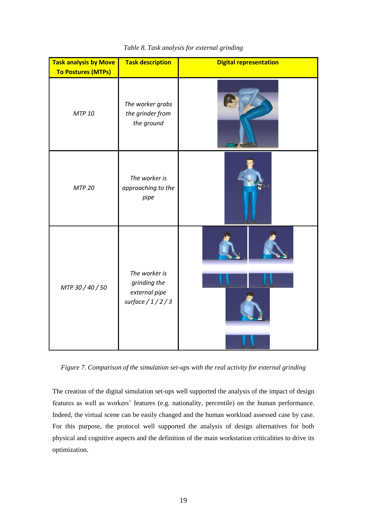| <b>Task analysis by Move</b><br><b>To Postures (MTPs)</b> | <b>Task description</b>                                            | <b>Digital representation</b> |
|-----------------------------------------------------------|--------------------------------------------------------------------|-------------------------------|
| <b>MTP 10</b>                                             | The worker grabs<br>the grinder from<br>the ground                 | tor <sub>=</sub>              |
| <b>MTP 20</b>                                             | The worker is<br>approaching to the<br>pipe                        |                               |
| MTP 30 / 40 / 50                                          | The worker is<br>grinding the<br>external pipe<br>surface $/1/2/3$ |                               |

*Table 8. Task analysis for external grinding*

*Figure 7. Comparison of the simulation set-ups with the real activity for external grinding*

The creation of the digital simulation set-ups well supported the analysis of the impact of design features as well as workers' features (e.g. nationality, percentile) on the human performance. Indeed, the virtual scene can be easily changed and the human workload assessed case by case. For this purpose, the protocol well supported the analysis of design alternatives for both physical and cognitive aspects and the definition of the main workstation criticalities to drive its optimization.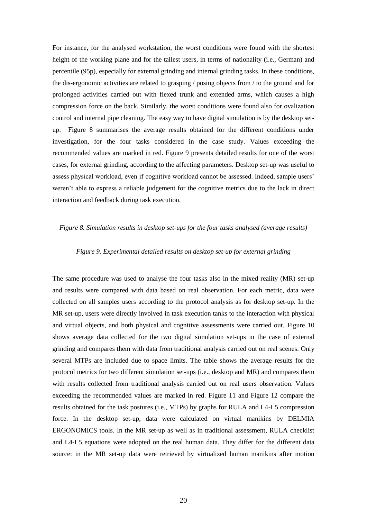For instance, for the analysed workstation, the worst conditions were found with the shortest height of the working plane and for the tallest users, in terms of nationality (i.e., German) and percentile (95p), especially for external grinding and internal grinding tasks. In these conditions, the dis-ergonomic activities are related to grasping / posing objects from / to the ground and for prolonged activities carried out with flexed trunk and extended arms, which causes a high compression force on the back. Similarly, the worst conditions were found also for ovalization control and internal pipe cleaning. The easy way to have digital simulation is by the desktop setup. Figure 8 summarises the average results obtained for the different conditions under investigation, for the four tasks considered in the case study. Values exceeding the recommended values are marked in red. Figure 9 presents detailed results for one of the worst cases, for external grinding, according to the affecting parameters. Desktop set-up was useful to assess physical workload, even if cognitive workload cannot be assessed. Indeed, sample users' weren't able to express a reliable judgement for the cognitive metrics due to the lack in direct interaction and feedback during task execution.

# *Figure 8. Simulation results in desktop set-ups for the four tasks analysed (average results)*

#### *Figure 9. Experimental detailed results on desktop set-up for external grinding*

The same procedure was used to analyse the four tasks also in the mixed reality (MR) set-up and results were compared with data based on real observation. For each metric, data were collected on all samples users according to the protocol analysis as for desktop set-up. In the MR set-up, users were directly involved in task execution tanks to the interaction with physical and virtual objects, and both physical and cognitive assessments were carried out. Figure 10 shows average data collected for the two digital simulation set-ups in the case of external grinding and compares them with data from traditional analysis carried out on real scenes. Only several MTPs are included due to space limits. The table shows the average results for the protocol metrics for two different simulation set-ups (i.e., desktop and MR) and compares them with results collected from traditional analysis carried out on real users observation. Values exceeding the recommended values are marked in red. Figure 11 and Figure 12 compare the results obtained for the task postures (i.e., MTPs) by graphs for RULA and L4-L5 compression force. In the desktop set-up, data were calculated on virtual manikins by DELMIA ERGONOMICS tools. In the MR set-up as well as in traditional assessment, RULA checklist and L4-L5 equations were adopted on the real human data. They differ for the different data source: in the MR set-up data were retrieved by virtualized human manikins after motion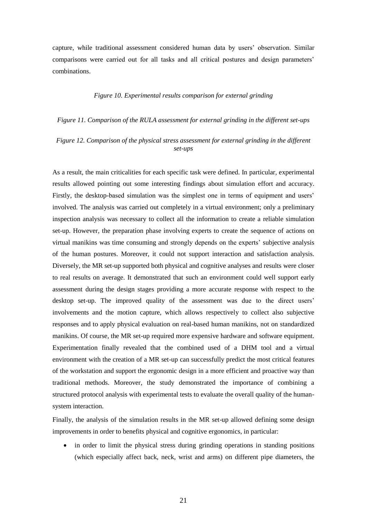capture, while traditional assessment considered human data by users' observation. Similar comparisons were carried out for all tasks and all critical postures and design parameters' combinations.

#### *Figure 10. Experimental results comparison for external grinding*

*Figure 11. Comparison of the RULA assessment for external grinding in the different set-ups*

# *Figure 12. Comparison of the physical stress assessment for external grinding in the different set-ups*

As a result, the main criticalities for each specific task were defined. In particular, experimental results allowed pointing out some interesting findings about simulation effort and accuracy. Firstly, the desktop-based simulation was the simplest one in terms of equipment and users' involved. The analysis was carried out completely in a virtual environment; only a preliminary inspection analysis was necessary to collect all the information to create a reliable simulation set-up. However, the preparation phase involving experts to create the sequence of actions on virtual manikins was time consuming and strongly depends on the experts' subjective analysis of the human postures. Moreover, it could not support interaction and satisfaction analysis. Diversely, the MR set-up supported both physical and cognitive analyses and results were closer to real results on average. It demonstrated that such an environment could well support early assessment during the design stages providing a more accurate response with respect to the desktop set-up. The improved quality of the assessment was due to the direct users' involvements and the motion capture, which allows respectively to collect also subjective responses and to apply physical evaluation on real-based human manikins, not on standardized manikins. Of course, the MR set-up required more expensive hardware and software equipment. Experimentation finally revealed that the combined used of a DHM tool and a virtual environment with the creation of a MR set-up can successfully predict the most critical features of the workstation and support the ergonomic design in a more efficient and proactive way than traditional methods. Moreover, the study demonstrated the importance of combining a structured protocol analysis with experimental tests to evaluate the overall quality of the humansystem interaction.

Finally, the analysis of the simulation results in the MR set-up allowed defining some design improvements in order to benefits physical and cognitive ergonomics, in particular:

• in order to limit the physical stress during grinding operations in standing positions (which especially affect back, neck, wrist and arms) on different pipe diameters, the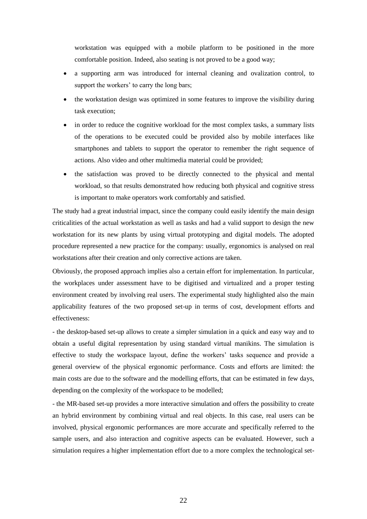workstation was equipped with a mobile platform to be positioned in the more comfortable position. Indeed, also seating is not proved to be a good way;

- a supporting arm was introduced for internal cleaning and ovalization control, to support the workers' to carry the long bars;
- the workstation design was optimized in some features to improve the visibility during task execution;
- in order to reduce the cognitive workload for the most complex tasks, a summary lists of the operations to be executed could be provided also by mobile interfaces like smartphones and tablets to support the operator to remember the right sequence of actions. Also video and other multimedia material could be provided;
- the satisfaction was proved to be directly connected to the physical and mental workload, so that results demonstrated how reducing both physical and cognitive stress is important to make operators work comfortably and satisfied.

The study had a great industrial impact, since the company could easily identify the main design criticalities of the actual workstation as well as tasks and had a valid support to design the new workstation for its new plants by using virtual prototyping and digital models. The adopted procedure represented a new practice for the company: usually, ergonomics is analysed on real workstations after their creation and only corrective actions are taken.

Obviously, the proposed approach implies also a certain effort for implementation. In particular, the workplaces under assessment have to be digitised and virtualized and a proper testing environment created by involving real users. The experimental study highlighted also the main applicability features of the two proposed set-up in terms of cost, development efforts and effectiveness:

- the desktop-based set-up allows to create a simpler simulation in a quick and easy way and to obtain a useful digital representation by using standard virtual manikins. The simulation is effective to study the workspace layout, define the workers' tasks sequence and provide a general overview of the physical ergonomic performance. Costs and efforts are limited: the main costs are due to the software and the modelling efforts, that can be estimated in few days, depending on the complexity of the workspace to be modelled;

- the MR-based set-up provides a more interactive simulation and offers the possibility to create an hybrid environment by combining virtual and real objects. In this case, real users can be involved, physical ergonomic performances are more accurate and specifically referred to the sample users, and also interaction and cognitive aspects can be evaluated. However, such a simulation requires a higher implementation effort due to a more complex the technological set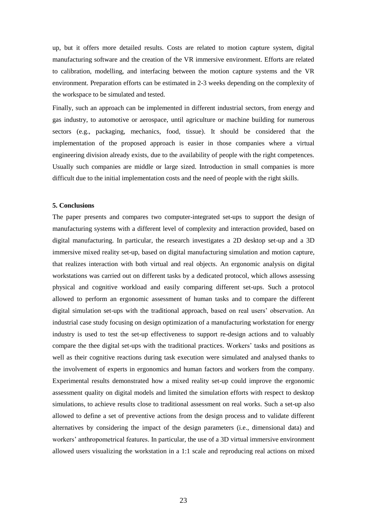up, but it offers more detailed results. Costs are related to motion capture system, digital manufacturing software and the creation of the VR immersive environment. Efforts are related to calibration, modelling, and interfacing between the motion capture systems and the VR environment. Preparation efforts can be estimated in 2-3 weeks depending on the complexity of the workspace to be simulated and tested.

Finally, such an approach can be implemented in different industrial sectors, from energy and gas industry, to automotive or aerospace, until agriculture or machine building for numerous sectors (e.g., packaging, mechanics, food, tissue). It should be considered that the implementation of the proposed approach is easier in those companies where a virtual engineering division already exists, due to the availability of people with the right competences. Usually such companies are middle or large sized. Introduction in small companies is more difficult due to the initial implementation costs and the need of people with the right skills.

# **5. Conclusions**

The paper presents and compares two computer-integrated set-ups to support the design of manufacturing systems with a different level of complexity and interaction provided, based on digital manufacturing. In particular, the research investigates a 2D desktop set-up and a 3D immersive mixed reality set-up, based on digital manufacturing simulation and motion capture, that realizes interaction with both virtual and real objects. An ergonomic analysis on digital workstations was carried out on different tasks by a dedicated protocol, which allows assessing physical and cognitive workload and easily comparing different set-ups. Such a protocol allowed to perform an ergonomic assessment of human tasks and to compare the different digital simulation set-ups with the traditional approach, based on real users' observation. An industrial case study focusing on design optimization of a manufacturing workstation for energy industry is used to test the set-up effectiveness to support re-design actions and to valuably compare the thee digital set-ups with the traditional practices. Workers' tasks and positions as well as their cognitive reactions during task execution were simulated and analysed thanks to the involvement of experts in ergonomics and human factors and workers from the company. Experimental results demonstrated how a mixed reality set-up could improve the ergonomic assessment quality on digital models and limited the simulation efforts with respect to desktop simulations, to achieve results close to traditional assessment on real works. Such a set-up also allowed to define a set of preventive actions from the design process and to validate different alternatives by considering the impact of the design parameters (i.e., dimensional data) and workers' anthropometrical features. In particular, the use of a 3D virtual immersive environment allowed users visualizing the workstation in a 1:1 scale and reproducing real actions on mixed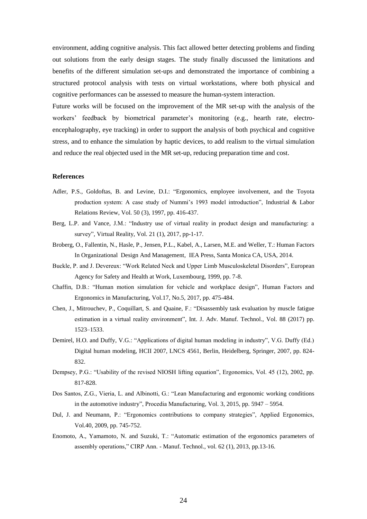environment, adding cognitive analysis. This fact allowed better detecting problems and finding out solutions from the early design stages. The study finally discussed the limitations and benefits of the different simulation set-ups and demonstrated the importance of combining a structured protocol analysis with tests on virtual workstations, where both physical and cognitive performances can be assessed to measure the human-system interaction.

Future works will be focused on the improvement of the MR set-up with the analysis of the workers' feedback by biometrical parameter's monitoring (e.g., hearth rate, electroencephalography, eye tracking) in order to support the analysis of both psychical and cognitive stress, and to enhance the simulation by haptic devices, to add realism to the virtual simulation and reduce the real objected used in the MR set-up, reducing preparation time and cost.

## **References**

- Adler, P.S., Goldoftas, B. and Levine, D.I.: "Ergonomics, employee involvement, and the Toyota production system: A case study of Nummi's 1993 model introduction", Industrial & Labor Relations Review, Vol. 50 (3), 1997, pp. 416-437.
- Berg, L.P. and Vance, J.M.: "Industry use of virtual reality in product design and manufacturing: a survey", Virtual Reality, Vol. 21 (1), 2017, pp-1-17.
- Broberg, O., Fallentin, N., Hasle, P., Jensen, P.L., Kabel, A., Larsen, M.E. and Weller, T.: Human Factors In Organizational Design And Management, IEA Press, Santa Monica CA, USA, 2014.
- Buckle, P. and J. Devereux: "Work Related Neck and Upper Limb Musculoskeletal Disorders", European Agency for Safety and Health at Work, Luxembourg, 1999, pp. 7-8.
- Chaffin, D.B.: "Human motion simulation for vehicle and workplace design", Human Factors and Ergonomics in Manufacturing, Vol.17, No.5, 2017, pp. 475-484.
- Chen, J., Mitrouchev, P., Coquillart, S. and Quaine, F.: "Disassembly task evaluation by muscle fatigue estimation in a virtual reality environment", Int. J. Adv. Manuf. Technol., Vol. 88 (2017) pp. 1523–1533.
- Demirel, H.O. and Duffy, V.G.: "Applications of digital human modeling in industry", V.G. Duffy (Ed.) Digital human modeling, HCII 2007, LNCS 4561, Berlin, Heidelberg, Springer, 2007, pp. 824- 832.
- Dempsey, P.G.: "Usability of the revised NIOSH lifting equation", Ergonomics, Vol. 45 (12), 2002, pp. 817-828.
- Dos Santos, Z.G., Vieria, L. and Albinotti, G.: "Lean Manufacturing and ergonomic working conditions in the automotive industry", Procedia Manufacturing, Vol. 3, 2015, pp. 5947 – 5954.
- Dul, J. and Neumann, P.: "Ergonomics contributions to company strategies", Applied Ergonomics, Vol.40, 2009, pp. 745-752.
- Enomoto, A., Yamamoto, N. and Suzuki, T.: "Automatic estimation of the ergonomics parameters of assembly operations," CIRP Ann. - Manuf. Technol., vol. 62 (1), 2013, pp.13-16.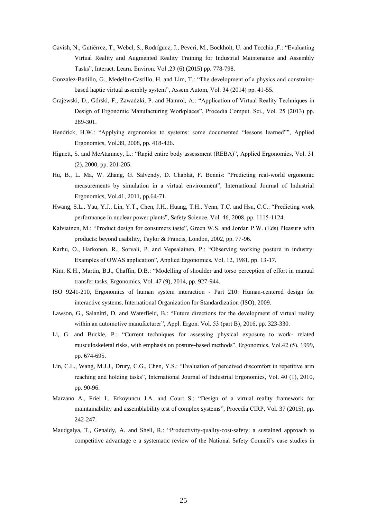- Gavish, N., Gutiérrez, T., Webel, S., Rodríguez, J., Peveri, M., Bockholt, U. and Tecchia ,F.: "Evaluating Virtual Reality and Augmented Reality Training for Industrial Maintenance and Assembly Tasks", Interact. Learn. Environ. Vol .23 (6) (2015) pp. 778-798.
- Gonzalez-Badillo, G., Medellin-Castillo, H. and Lim, T.: "The development of a physics and constraintbased haptic virtual assembly system", Assem Autom, Vol. 34 (2014) pp. 41-55.
- Grajewski, D., Górski, F., Zawadzki, P. and Hamrol, A.: "Application of Virtual Reality Techniques in Design of Ergonomic Manufacturing Workplaces", Procedia Comput. Sci., Vol. 25 (2013) pp. 289-301.
- Hendrick, H.W.: "Applying ergonomics to systems: some documented "lessons learned"", Applied Ergonomics, Vol.39, 2008, pp. 418-426.
- Hignett, S. and McAtamney, L.: "Rapid entire body assessment (REBA)", Applied Ergonomics, Vol. 31 (2), 2000, pp. 201-205.
- Hu, B., L. Ma, W. Zhang, G. Salvendy, D. Chablat, F. Bennis: "Predicting real-world ergonomic measurements by simulation in a virtual environment", International Journal of Industrial Ergonomics, Vol.41, 2011, pp.64-71.
- Hwang, S.L., Yau, Y.J., Lin, Y.T., Chen, J.H., Huang, T.H., Yenn, T.C. and Hsu, C.C.: "Predicting work performance in nuclear power plants", Safety Science, Vol. 46, 2008, pp. 1115-1124.
- Kalviainen, M.: "Product design for consumers taste", Green W.S. and Jordan P.W. (Eds) Pleasure with products: beyond usability, Taylor & Francis, London, 2002, pp. 77-96.
- Karhu, O., Harkonen, R., Sorvali, P. and Vepsalainen, P.: "Observing working posture in industry: Examples of OWAS application", Applied Ergonomics, Vol. 12, 1981, pp. 13-17.
- Kim, K.H., Martin, B.J., Chaffin, D.B.: "Modelling of shoulder and torso perception of effort in manual transfer tasks, Ergonomics, Vol. 47 (9), 2014, pp. 927-944.
- ISO 9241-210, Ergonomics of human system interaction Part 210: Human-centered design for interactive systems, International Organization for Standardization (ISO), 2009.
- Lawson, G., Salanitri, D. and Waterfield, B.: "Future directions for the development of virtual reality within an automotive manufacturer", Appl. Ergon. Vol. 53 (part B), 2016, pp. 323-330.
- Li, G. and Buckle, P.: "Current techniques for assessing physical exposure to work- related musculoskeletal risks, with emphasis on posture-based methods", Ergonomics, Vol.42 (5), 1999, pp. 674-695.
- Lin, C.L., Wang, M.J.J., Drury, C.G., Chen, Y.S.: "Evaluation of perceived discomfort in repetitive arm reaching and holding tasks", International Journal of Industrial Ergonomics, Vol. 40 (1), 2010, pp. 90-96.
- Marzano A., Friel I., Erkoyuncu J.A. and Court S.: "Design of a virtual reality framework for maintainability and assemblability test of complex systems", Procedia CIRP, Vol. 37 (2015), pp. 242-247.
- Maudgalya, T., Genaidy, A. and Shell, R.: "Productivity-quality-cost-safety: a sustained approach to competitive advantage e a systematic review of the National Safety Council's case studies in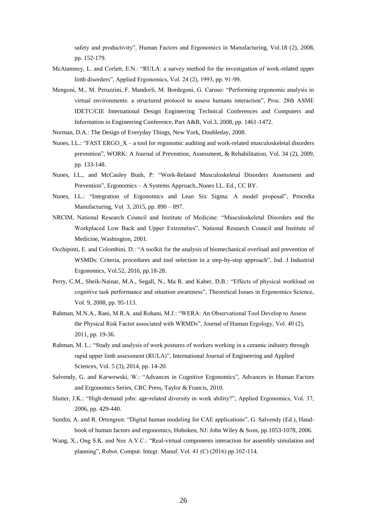safety and productivity", Human Factors and Ergonomics in Manufacturing, Vol.18 (2), 2008, pp. 152-179.

- McAtamney, L. and Corlett, E.N.: "RULA: a survey method for the investigation of work-related upper limb disorders", Applied Ergonomics, Vol. 24 (2), 1993, pp. 91-99.
- Mengoni, M., M. Peruzzini, F. Mandorli, M. Bordegoni, G. Caruso: "Performing ergonomic analysis in virtual environments: a structured protocol to assess humans interaction", Proc. 28th ASME IDETC/CIE International Design Engineering Technical Conferences and Computers and Information in Engineering Conference, Part A&B, Vol.3, 2008, pp. 1461-1472.
- Norman, D.A.: The Design of Everyday Things, New York, Doubleday, 2008.
- Nunes, I.L.: "FAST ERGO $X a$  tool for ergonomic auditing and work-related musculoskeletal disorders prevention", WORK: A Journal of Prevention, Assessment, & Rehabilitation, Vol. 34 (2), 2009, pp. 133-148.
- Nunes, I.L., and McCauley Bush, P: "Work-Related Musculoskeletal Disorders Assessment and Prevention", Ergonomics – A Systems Approach,.Nunes I.L. Ed., CC BY.
- Nunes, I.L.: "Integration of Ergonomics and Lean Six Sigma: A model proposal", Procedia Manufacturing, Vol 3, 2015, pp. 890 – 897.
- NRCIM, National Research Council and Institute of Medicine: "Musculoskeletal Disorders and the Workplaced Low Back and Upper Extremities", National Research Council and Institute of Medicine, Washington, 2001.
- Occhipinti, E. and Colombini, D.: "A toolkit for the analysis of biomechanical overload and prevention of WSMDs: Criteria, procedures and tool selection in a step-by-step approach", Ind. J Industrial Ergonomics, Vol.52, 2016, pp.18-28.
- Perry, C.M., Sheik-Nainar, M.A., Segall, N., Ma R. and Kaber, D.B.: "Effects of physical workload on cognitive task performance and situation awareness", Theoretical Issues in Ergonomics Science, Vol. 9, 2008, pp. 95-113.
- Rahman, M.N.A., Rani, M.R.A. and Rohani, M.J.: "WERA: An Observational Tool Develop to Assess the Physical Risk Factor associated with WRMDs", Journal of Human Ergology, Vol. 40 (2), 2011, pp. 19-36.
- Rahman, M. L.: "Study and analysis of work postures of workers working in a ceramic industry through rapid upper limb assessment (RULA)", International Journal of Engineering and Applied Sciences, Vol. 5 (3), 2014, pp. 14-20.
- Salvendy, G. and Karwowski, W.: "Advances in Cognitive Ergonomics", Advances in Human Factors and Ergonomics Series, CRC Press, Taylor & Francis, 2010.
- Sluiter, J.K.: "High-demand jobs: age-related diversity in work ability?", Applied Ergonomics, Vol. 37, 2006, pp. 429-440.
- Sundin, A. and R. Ortengren: "Digital human modeling for CAE applications", G. Salvendy (Ed.), Handbook of human factors and ergonomics, Hoboken, NJ: John Wiley & Sons, pp.1053-1078, 2006.
- Wang, X., Ong S.K. and Nee A.Y.C.: "Real-virtual components interaction for assembly simulation and planning", Robot. Comput. Integr. Manuf. Vol. 41 (C) (2016) pp.102-114.